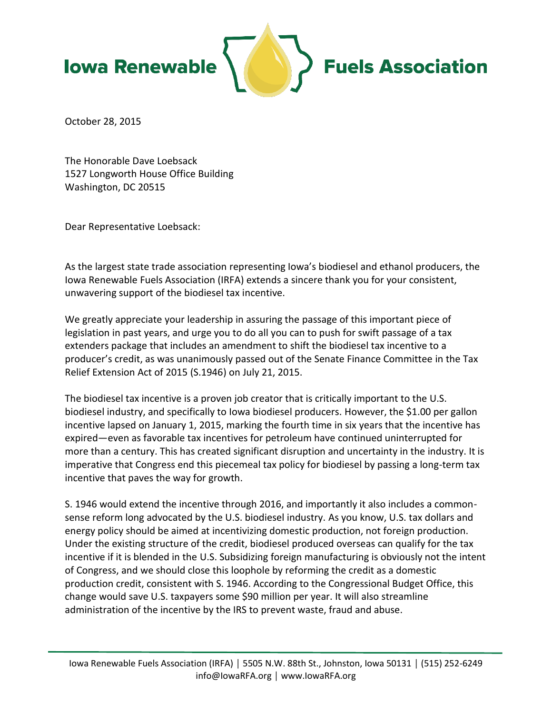

October 28, 2015

The Honorable Dave Loebsack 1527 Longworth House Office Building Washington, DC 20515

Dear Representative Loebsack:

As the largest state trade association representing Iowa's biodiesel and ethanol producers, the Iowa Renewable Fuels Association (IRFA) extends a sincere thank you for your consistent, unwavering support of the biodiesel tax incentive.

We greatly appreciate your leadership in assuring the passage of this important piece of legislation in past years, and urge you to do all you can to push for swift passage of a tax extenders package that includes an amendment to shift the biodiesel tax incentive to a producer's credit, as was unanimously passed out of the Senate Finance Committee in the Tax Relief Extension Act of 2015 (S.1946) on July 21, 2015.

The biodiesel tax incentive is a proven job creator that is critically important to the U.S. biodiesel industry, and specifically to Iowa biodiesel producers. However, the \$1.00 per gallon incentive lapsed on January 1, 2015, marking the fourth time in six years that the incentive has expired—even as favorable tax incentives for petroleum have continued uninterrupted for more than a century. This has created significant disruption and uncertainty in the industry. It is imperative that Congress end this piecemeal tax policy for biodiesel by passing a long-term tax incentive that paves the way for growth.

S. 1946 would extend the incentive through 2016, and importantly it also includes a commonsense reform long advocated by the U.S. biodiesel industry. As you know, U.S. tax dollars and energy policy should be aimed at incentivizing domestic production, not foreign production. Under the existing structure of the credit, biodiesel produced overseas can qualify for the tax incentive if it is blended in the U.S. Subsidizing foreign manufacturing is obviously not the intent of Congress, and we should close this loophole by reforming the credit as a domestic production credit, consistent with S. 1946. According to the Congressional Budget Office, this change would save U.S. taxpayers some \$90 million per year. It will also streamline administration of the incentive by the IRS to prevent waste, fraud and abuse.